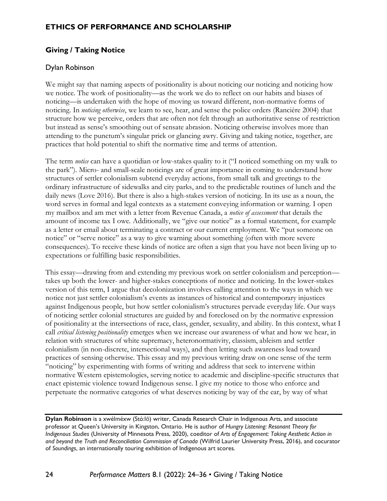## **ETHICS OF PERFORMANCE AND SCHOLARSHIP**

# **Giving / Taking Notice**

## Dylan Robinson

We might say that naming aspects of positionality is about noticing our noticing and noticing how we notice. The work of positionality—as the work we do to reflect on our habits and biases of noticing—is undertaken with the hope of moving us toward different, non-normative forms of noticing. In *noticing otherwise*, we learn to see, hear, and sense the police orders (Rancière 2004) that structure how we perceive, orders that are often not felt through an authoritative sense of restriction but instead as sense's smoothing out of sensate abrasion. Noticing otherwise involves more than attending to the punctum's singular prick or glancing awry. Giving and taking notice, together, are practices that hold potential to shift the normative time and terms of attention.

The term *notice* can have a quotidian or low-stakes quality to it ("I noticed something on my walk to the park"). Micro- and small-scale noticings are of great importance in coming to understand how structures of settler colonialism subtend everyday actions, from small talk and greetings to the ordinary infrastructure of sidewalks and city parks, and to the predictable routines of lunch and the daily news (Love 2016). But there is also a high-stakes version of noticing. In its use as a noun, the word serves in formal and legal contexts as a statement conveying information or warning. I open my mailbox and am met with a letter from Revenue Canada, a *notice of assessment* that details the amount of income tax I owe. Additionally, we "give our notice" as a formal statement, for example as a letter or email about terminating a contract or our current employment. We "put someone on notice" or "serve notice" as a way to give warning about something (often with more severe consequences). To receive these kinds of notice are often a sign that you have not been living up to expectations or fulfilling basic responsibilities.

This essay—drawing from and extending my previous work on settler colonialism and perception takes up both the lower- and higher-stakes conceptions of notice and noticing. In the lower-stakes version of this term, I argue that decolonization involves calling attention to the ways in which we notice not just settler colonialism's events as instances of historical and contemporary injustices against Indigenous people, but how settler colonialism's structures pervade everyday life. Our ways of noticing settler colonial structures are guided by and foreclosed on by the normative expression of positionality at the intersections of race, class, gender, sexuality, and ability. In this context, what I call *critical listening positionality* emerges when we increase our awareness of what and how we hear, in relation with structures of white supremacy, heteronormativity, classism, ableism and settler colonialism (in non-discrete, intersectional ways), and then letting such awareness lead toward practices of sensing otherwise. This essay and my previous writing draw on one sense of the term "noticing" by experimenting with forms of writing and address that seek to intervene within normative Western epistemologies, serving notice to academic and discipline-specific structures that enact epistemic violence toward Indigenous sense. I give my notice to those who enforce and perpetuate the normative categories of what deserves noticing by way of the ear, by way of what

**Dylan Robinson** is a xwélméxw (Stó:lō) writer, Canada Research Chair in Indigenous Arts, and associate professor at Queen's University in Kingston, Ontario. He is author of *Hungry Listening: Resonant Theory for Indigenous Studies* (University of Minnesota Press, 2020), coeditor of *Arts of Engagement: Taking Aesthetic Action in and beyond the Truth and Reconciliation Commission of Canada* (Wilfrid Laurier University Press, 2016), and cocurator of *Soundings*, an internationally touring exhibition of Indigenous art scores.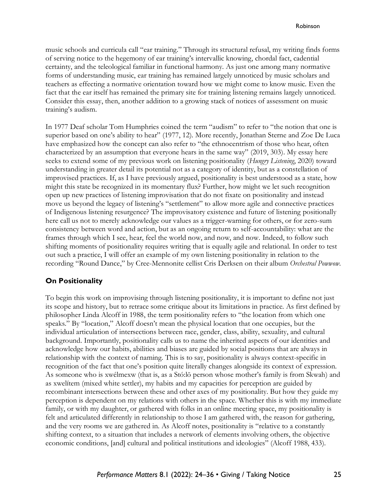music schools and curricula call "ear training." Through its structural refusal, my writing finds forms of serving notice to the hegemony of ear training's intervallic knowing, chordal fact, cadential certainty, and the teleological familiar in functional harmony. As just one among many normative forms of understanding music, ear training has remained largely unnoticed by music scholars and teachers as effecting a normative orientation toward how we might come to know music. Even the fact that the ear itself has remained the primary site for training listening remains largely unnoticed. Consider this essay, then, another addition to a growing stack of notices of assessment on music training's audism.

In 1977 Deaf scholar Tom Humphries coined the term "audism" to refer to "the notion that one is superior based on one's ability to hear" (1977, 12). More recently, Jonathan Sterne and Zoe De Luca have emphasized how the concept can also refer to "the ethnocentrism of those who hear, often characterized by an assumption that everyone hears in the same way" (2019, 303). My essay here seeks to extend some of my previous work on listening positionality (*Hungry Listening*, 2020) toward understanding in greater detail its potential not as a category of identity, but as a constellation of improvised practices. If, as I have previously argued, positionality is best understood as a state, how might this state be recognized in its momentary flux? Further, how might we let such recognition open up new practices of listening improvisation that do not fixate on positionality and instead move us beyond the legacy of listening's "settlement" to allow more agile and connective practices of Indigenous listening resurgence? The improvisatory existence and future of listening positionally here call us not to merely acknowledge our values as a trigger-warning for others, or for zero-sum consistency between word and action, but as an ongoing return to self-accountability: what are the frames through which I see, hear, feel the world now, and now, and now. Indeed, to follow such shifting moments of positionality requires writing that is equally agile and relational. In order to test out such a practice, I will offer an example of my own listening positionality in relation to the recording "Round Dance," by Cree-Mennonite cellist Cris Derksen on their album *Orchestral Powwow*.

### **On Positionality**

To begin this work on improvising through listening positionality, it is important to define not just its scope and history, but to retrace some critique about its limitations in practice. As first defined by philosopher Linda Alcoff in 1988, the term positionality refers to "the location from which one speaks." By "location," Alcoff doesn't mean the physical location that one occupies, but the individual articulation of intersections between race, gender, class, ability, sexuality, and cultural background. Importantly, positionality calls us to name the inherited aspects of our identities and acknowledge how our habits, abilities and biases are guided by social positions that are always in relationship with the context of naming. This is to say, positionality is always context-specific in recognition of the fact that one's position quite literally changes alongside its context of expression. As someone who is xwélmexw (that is, as a Stó:lō person whose mother's family is from Skwah) and as xwelítem (mixed white settler), my habits and my capacities for perception are guided by recombinant intersections between these and other axes of my positionality. But how they guide my perception is dependent on my relations with others in the space. Whether this is with my immediate family, or with my daughter, or gathered with folks in an online meeting space, my positionality is felt and articulated differently in relationship to those I am gathered with, the reason for gathering, and the very rooms we are gathered in. As Alcoff notes, positionality is "relative to a constantly shifting context, to a situation that includes a network of elements involving others, the objective economic conditions, [and] cultural and political institutions and ideologies" (Alcoff 1988, 433).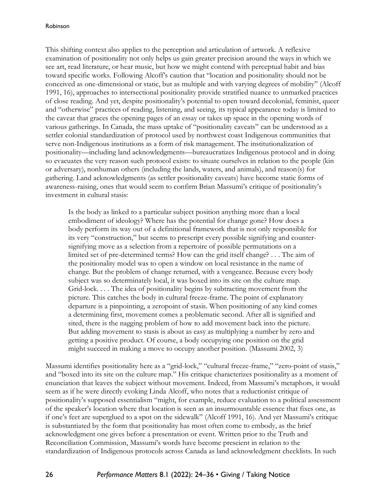This shifting context also applies to the perception and articulation of artwork. A reflexive examination of positionality not only helps us gain greater precision around the ways in which we see art, read literature, or hear music, but how we might contend with perceptual habit and bias toward specific works. Following Alcoff's caution that "location and positionality should not be conceived as one-dimensional or static, but as multiple and with varying degrees of mobility" (Alcoff 1991, 16), approaches to intersectional positionality provide stratified nuance to unmarked practices of close reading. And yet, despite positionality's potential to open toward decolonial, feminist, queer and "otherwise" practices of reading, listening, and seeing, its typical appearance today is limited to the caveat that graces the opening pages of an essay or takes up space in the opening words of various gatherings. In Canada, the mass uptake of "positionality caveats" can be understood as a settler colonial standardization of protocol used by northwest coast Indigenous communities that serve non-Indigenous institutions as a form of risk management. The institutionalization of positionality—including land acknowledgments—bureaucratizes Indigenous protocol and in doing so evacuates the very reason such protocol exists: to situate ourselves in relation to the people (kin or adversary), nonhuman others (including the lands, waters, and animals), and reason(s) for gathering. Land acknowledgments (as settler positionality caveats) have become static forms of awareness-raising, ones that would seem to confirm Brian Massumi's critique of positionality's investment in cultural stasis:

Is the body as linked to a particular subject position anything more than a local embodiment of ideology? Where has the potential for change gone? How does a body perform its way out of a definitional framework that is not only responsible for its very "construction," but seems to prescript every possible signifying and countersignifying move as a selection from a repertoire of possible permutations on a limited set of pre-determined terms? How can the grid itself change? . . . The aim of the positionality model was to open a window on local resistance in the name of change. But the problem of change returned, with a vengeance. Because every body subject was so determinately local, it was boxed into its site on the culture map. Grid-lock. . . . The idea of positionality begins by subtracting movement from the picture. This catches the body in cultural freeze-frame. The point of explanatory departure is a pinpointing, a zeropoint of stasis. When positioning of any kind comes a determining first, movement comes a problematic second. After all is signified and sited, there is the nagging problem of how to add movement back into the picture. But adding movement to stasis is about as easy as multiplying a number by zero and getting a positive product. Of course, a body occupying one position on the grid might succeed in making a move to occupy another position. (Massumi 2002, 3)

Massumi identifies positionality here as a "grid-lock," "cultural freeze-frame," "zero-point of stasis," and "boxed into its site on the culture map." His critique characterizes positionality as a moment of enunciation that leaves the subject without movement. Indeed, from Massumi's metaphors, it would seem as if he were directly evoking Linda Alcoff, who notes that a reductionist critique of positionality's supposed essentialism "might, for example, reduce evaluation to a political assessment of the speaker's location where that location is seen as an insurmountable essence that fixes one, as if one's feet are superglued to a spot on the sidewalk" (Alcoff 1991, 16). And yet Massumi's critique is substantiated by the form that positionality has most often come to embody, as the brief acknowledgment one gives before a presentation or event. Written prior to the Truth and Reconciliation Commission, Massumi's words have become prescient in relation to the standardization of Indigenous protocols across Canada as land acknowledgment checklists. In such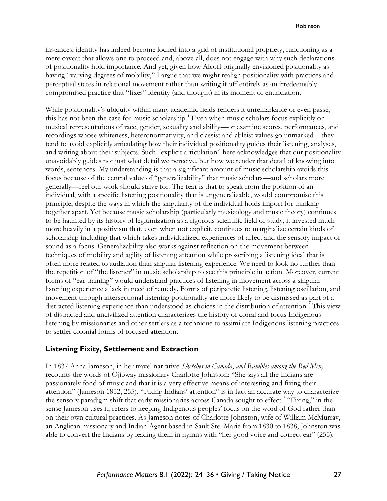instances, identity has indeed become locked into a grid of institutional propriety, functioning as a mere caveat that allows one to proceed and, above all, does not engage with why such declarations of positionality hold importance. And yet, given how Alcoff originally envisioned positionality as having "varying degrees of mobility," I argue that we might realign positionality with practices and perceptual states in relational movement rather than writing it off entirely as an irredeemably compromised practice that "fixes" identity (and thought) in its moment of enunciation.

While positionality's ubiquity within many academic fields renders it unremarkable or even passé, this has not been the case for music scholarship.<sup>1</sup> Even when music scholars focus explicitly on musical representations of race, gender, sexuality and ability—or examine scores, performances, and recordings whose whiteness, heteronormativity, and classist and ableist values go unmarked—they tend to avoid explicitly articulating how their individual positionality guides their listening, analyses, and writing about their subjects. Such "explicit articulation" here acknowledges that our positionality unavoidably guides not just what detail we perceive, but how we render that detail of knowing into words, sentences. My understanding is that a significant amount of music scholarship avoids this focus because of the central value of "generalizability" that music scholars—and scholars more generally—feel our work should strive for. The fear is that to speak from the position of an individual, with a specific listening positionality that is ungeneralizable, would compromise this principle, despite the ways in which the singularity of the individual holds import for thinking together apart. Yet because music scholarship (particularly musicology and music theory) continues to be haunted by its history of legitimization as a rigorous scientific field of study, it invested much more heavily in a positivism that, even when not explicit, continues to marginalize certain kinds of scholarship including that which takes individualized experiences of affect and the sensory impact of sound as a focus. Generalizability also works against reflection on the movement between techniques of mobility and agility of listening attention while proscribing a listening ideal that is often more related to audiation than singular listening experience. We need to look no further than the repetition of "the listener" in music scholarship to see this principle in action. Moreover, current forms of "ear training" would understand practices of listening in movement across a singular listening experience a lack in need of remedy. Forms of peripatetic listening, listening oscillation, and movement through intersectional listening positionality are more likely to be dismissed as part of a distracted listening experience than understood as choices in the distribution of attention.<sup>2</sup> This view of distracted and uncivilized attention characterizes the history of corral and focus Indigenous listening by missionaries and other settlers as a technique to assimilate Indigenous listening practices to settler colonial forms of focused attention.

### **Listening Fixity, Settlement and Extraction**

In 1837 Anna Jameson, in her travel narrative *Sketches in Canada*, *and Rambles among the Red Men,* recounts the words of Ojibway missionary Charlotte Johnston: "She says all the Indians are passionately fond of music and that it is a very effective means of interesting and fixing their attention" (Jameson 1852, 255). "Fixing Indians' attention" is in fact an accurate way to characterize the sensory paradigm shift that early missionaries across Canada sought to effect.<sup>3</sup> "Fixing," in the sense Jameson uses it, refers to keeping Indigenous peoples' focus on the word of God rather than on their own cultural practices. As Jameson notes of Charlotte Johnston, wife of William McMurray, an Anglican missionary and Indian Agent based in Sault Ste. Marie from 1830 to 1838, Johnston was able to convert the Indians by leading them in hymns with "her good voice and correct ear" (255).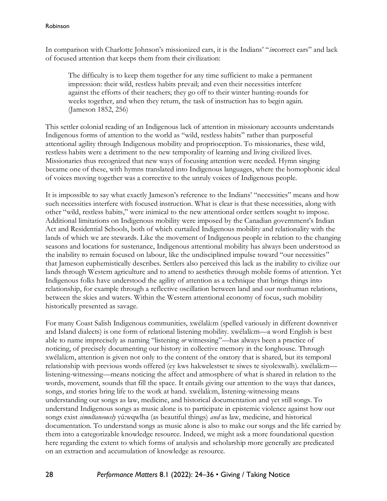#### Robinson

In comparison with Charlotte Johnson's missionized ears, it is the Indians' "*in*correct ears" and lack of focused attention that keeps them from their civilization:

The difficulty is to keep them together for any time sufficient to make a permanent impression: their wild, restless habits prevail; and even their necessities interfere against the efforts of their teachers; they go off to their winter hunting-rounds for weeks together, and when they return, the task of instruction has to begin again. (Jameson 1852, 256)

This settler colonial reading of an Indigenous lack of attention in missionary accounts understands Indigenous forms of attention to the world as "wild, restless habits" rather than purposeful attentional agility through Indigenous mobility and proprioception. To missionaries, these wild, restless habits were a detriment to the new temporality of learning and living civilized lives. Missionaries thus recognized that new ways of focusing attention were needed. Hymn singing became one of these, with hymns translated into Indigenous languages, where the homophonic ideal of voices moving together was a corrective to the unruly voices of Indigenous people.

It is impossible to say what exactly Jameson's reference to the Indians' "necessities" means and how such necessities interfere with focused instruction. What is clear is that these necessities, along with other "wild, restless habits," were inimical to the new attentional order settlers sought to impose. Additional limitations on Indigenous mobility were imposed by the Canadian government's Indian Act and Residential Schools, both of which curtailed Indigenous mobility and relationality with the lands of which we are stewards. Like the movement of Indigenous people in relation to the changing seasons and locations for sustenance, Indigenous attentional mobility has always been understood as the inability to remain focused on labour, like the undisciplined impulse toward "our necessities" that Jameson euphemistically describes. Settlers also perceived this lack as the inability to civilize our lands through Western agriculture and to attend to aesthetics through mobile forms of attention. Yet Indigenous folks have understood the agility of attention as a technique that brings things into relationship, for example through a reflective oscillation between land and our nonhuman relations, between the skies and waters. Within the Western attentional economy of focus, such mobility historically presented as savage.

For many Coast Salish Indigenous communities, xwélalà:m (spelled variously in different downriver and Island dialects) is one form of relational listening mobility. xwélalà:m—a word English is best able to name imprecisely as naming "listening *or* witnessing"—has always been a practice of noticing, of precisely documenting our history in collective memory in the longhouse. Through xwélalà:m, attention is given not only to the content of the oratory that is shared, but its temporal relationship with previous words offered (ey kws hakwelestset te siwes te siyolexwalh). xwélalà:m listening-witnessing—means noticing the affect and atmosphere of what is shared in relation to the words, movement, sounds that fill the space. It entails giving our attention to the ways that dances, songs, and stories bring life to the work at hand. xwélalà:m, listening-witnessing means understanding our songs as law, medicine, and historical documentation and yet still songs. To understand Indigenous songs as music alone is to participate in epistemic violence against how our songs exist *simultaneously* yú:wqwlha (as beautiful things) *and* as law, medicine, and historical documentation. To understand songs as music alone is also to make our songs and the life carried by them into a categorizable knowledge resource. Indeed, we might ask a more foundational question here regarding the extent to which forms of analysis and scholarship more generally are predicated on an extraction and accumulation of knowledge as resource.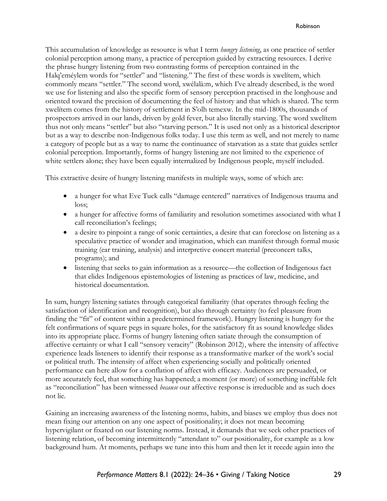This accumulation of knowledge as resource is what I term *hungry listening*, as one practice of settler colonial perception among many, a practice of perception guided by extracting resources. I derive the phrase hungry listening from two contrasting forms of perception contained in the Halq'eméylem words for "settler" and "listening." The first of these words is xwelítem, which commonly means "settler." The second word, xwélalà:m, which I've already described, is the word we use for listening and also the specific form of sensory perception practised in the longhouse and oriented toward the precision of documenting the feel of history and that which is shared. The term xwelítem comes from the history of settlement in S'olh temexw. In the mid-1800s, thousands of prospectors arrived in our lands, driven by gold fever, but also literally starving. The word xwelítem thus not only means "settler" but also "starving person." It is used not only as a historical descriptor but as a way to describe non-Indigenous folks today. I use this term as well, and not merely to name a category of people but as a way to name the continuance of starvation as a state that guides settler colonial perception. Importantly, forms of hungry listening are not limited to the experience of white settlers alone; they have been equally internalized by Indigenous people, myself included.

This extractive desire of hungry listening manifests in multiple ways, some of which are:

- a hunger for what Eve Tuck calls "damage centered" narratives of Indigenous trauma and loss;
- a hunger for affective forms of familiarity and resolution sometimes associated with what I call reconciliation's feelings;
- a desire to pinpoint a range of sonic certainties, a desire that can foreclose on listening as a speculative practice of wonder and imagination, which can manifest through formal music training (ear training, analysis) and interpretive concert material (preconcert talks, programs); and
- listening that seeks to gain information as a resource—the collection of Indigenous fact that elides Indigenous epistemologies of listening as practices of law, medicine, and historical documentation.

In sum, hungry listening satiates through categorical familiarity (that operates through feeling the satisfaction of identification and recognition), but also through certainty (to feel pleasure from finding the "fit" of content within a predetermined framework). Hungry listening is hungry for the felt confirmations of square pegs in square holes, for the satisfactory fit as sound knowledge slides into its appropriate place. Forms of hungry listening often satiate through the consumption of affective certainty or what I call "sensory veracity" (Robinson 2012), where the intensity of affective experience leads listeners to identify their response as a transformative marker of the work's social or political truth. The intensity of affect when experiencing socially and politically oriented performance can here allow for a conflation of affect with efficacy. Audiences are persuaded, or more accurately feel, that something has happened; a moment (or more) of something ineffable felt as "reconciliation" has been witnessed *because* our affective response is irreducible and as such does not lie.

Gaining an increasing awareness of the listening norms, habits, and biases we employ thus does not mean fixing our attention on any one aspect of positionality; it does not mean becoming hypervigilant or fixated on our listening norms. Instead, it demands that we seek other practices of listening relation, of becoming intermittently "attendant to" our positionality, for example as a low background hum. At moments, perhaps we tune into this hum and then let it recede again into the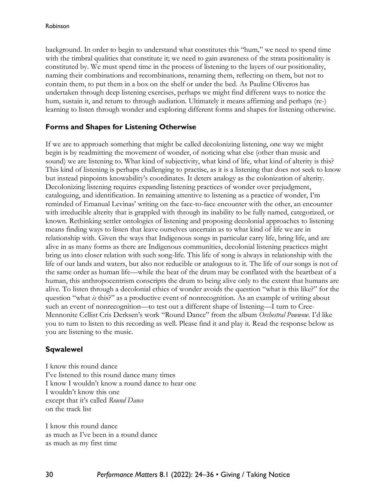background. In order to begin to understand what constitutes this "hum," we need to spend time with the timbral qualities that constitute it; we need to gain awareness of the strata positionality is constituted by. We must spend time in the process of listening to the layers of our positionality, naming their combinations and recombinations, renaming them, reflecting on them, but not to contain them, to put them in a box on the shelf or under the bed. As Pauline Oliveros has undertaken through deep listening exercises, perhaps we might find different ways to notice the hum, sustain it, and return to through audiation. Ultimately it means affirming and perhaps (re-) learning to listen through wonder and exploring different forms and shapes for listening otherwise.

# **Forms and Shapes for Listening Otherwise**

If we are to approach something that might be called decolonizing listening, one way we might begin is by readmitting the movement of wonder, of noticing what else (other than music and sound) we are listening to. What kind of subjectivity, what kind of life, what kind of alterity is this? This kind of listening is perhaps challenging to practise, as it is a listening that does not seek to know but instead pinpoints knowability's coordinates. It deters analogy as the colonization of alterity. Decolonizing listening requires expanding listening practices of wonder over prejudgment, cataloguing, and identification. In remaining attentive to listening as a practice of wonder, I'm reminded of Emanual Levinas' writing on the face-to-face encounter with the other, an encounter with irreducible alterity that is grappled with through its inability to be fully named, categorized, or known. Rethinking settler ontologies of listening and proposing decolonial approaches to listening means finding ways to listen that leave ourselves uncertain as to what kind of life we are in relationship with. Given the ways that Indigenous songs in particular carry life, bring life, and are alive in as many forms as there are Indigenous communities, decolonial listening practices might bring us into closer relation with such song-life. This life of song is always in relationship with the life of our lands and waters, but also not reducible or analogous to it. The life of our songs is not of the same order as human life—while the beat of the drum may be conflated with the heartbeat of a human, this anthropocentrism conscripts the drum to being alive only to the extent that humans are alive. To listen through a decolonial ethics of wonder avoids the question "what is this like?" for the question "what *is* this?" as a productive event of nonrecognition. As an example of writing about such an event of nonrecognition—to test out a different shape of listening—I turn to Cree-Mennonite Cellist Cris Derksen's work "Round Dance" from the album *Orchestral Powwow*. I'd like you to turn to listen to this recording as well. Please find it and play it. Read the response below as you are listening to the music.

# **Sqwalewel**

I know this round dance I've listened to this round dance many times I know I wouldn't know a round dance to hear one I wouldn't know this one except that it's called *Round Dance* on the track list

I know this round dance as much as I've been in a round dance as much as my first time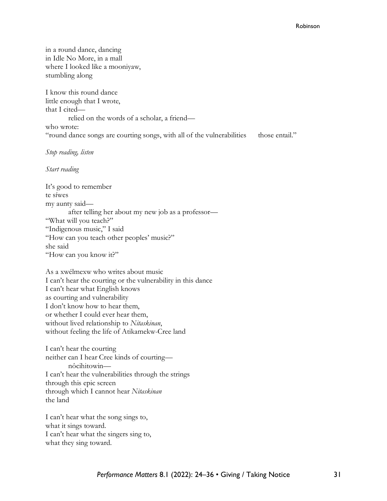in a round dance, dancing in Idle No More, in a mall where I looked like a mooniyaw, stumbling along

I know this round dance little enough that I wrote, that I cited relied on the words of a scholar, a friend who wrote: "round dance songs are courting songs, with all of the vulnerabilities those entail."

*Stop reading, listen*

*Start reading*

It's good to remember te síwes my aunty said after telling her about my new job as a professor— "What will you teach?" "Indigenous music," I said "How can you teach other peoples' music?" she said "How can you know it?"

As a xwélmexw who writes about music I can't hear the courting or the vulnerability in this dance I can't hear what English knows as courting and vulnerability I don't know how to hear them, or whether I could ever hear them, without lived relationship to *Nitaskinan*, without feeling the life of Atikamekw-Cree land

I can't hear the courting neither can I hear Cree kinds of courting nôcihitowin— I can't hear the vulnerabilities through the strings through this epic screen through which I cannot hear *Nitaskinan* the land

I can't hear what the song sings to, what it sings toward. I can't hear what the singers sing to, what they sing toward.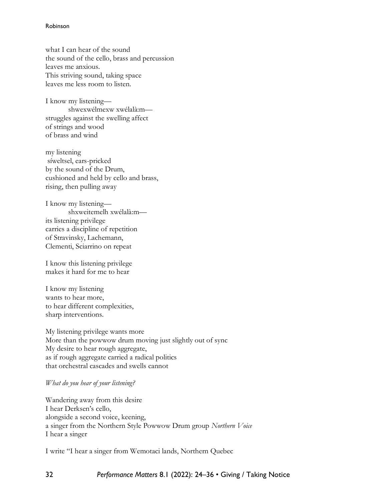#### Robinson

what I can hear of the sound the sound of the cello, brass and percussion leaves me anxious. This striving sound, taking space leaves me less room to listen.

I know my listening shwexwélmexw xwélalà:m struggles against the swelling affect of strings and wood of brass and wind

my listening síweltsel, ears-pricked by the sound of the Drum, cushioned and held by cello and brass, rising, then pulling away

I know my listening shxweitemelh xwélalà:m its listening privilege carries a discipline of repetition of Stravinsky, Lachemann, Clementi, Sciarrino on repeat

I know this listening privilege makes it hard for me to hear

I know my listening wants to hear more, to hear different complexities, sharp interventions.

My listening privilege wants more More than the powwow drum moving just slightly out of sync My desire to hear rough aggregate, as if rough aggregate carried a radical politics that orchestral cascades and swells cannot

### *What do you hear of your listening?*

Wandering away from this desire I hear Derksen's cello, alongside a second voice, keening, a singer from the Northern Style Powwow Drum group *Northern Voice* I hear a singer

I write "I hear a singer from Wemotaci lands, Northern Quebec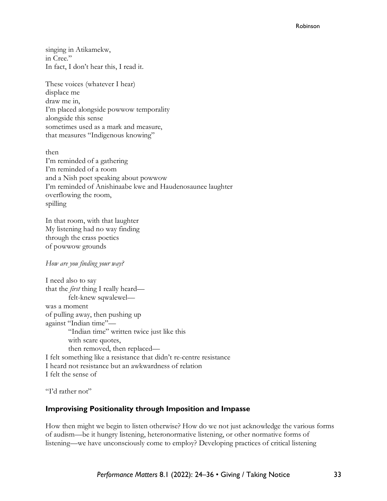#### Robinson

singing in Atikamekw, in Cree." In fact, I don't hear this, I read it.

These voices (whatever I hear) displace me draw me in, I'm placed alongside powwow temporality alongside this sense sometimes used as a mark and measure, that measures "Indigenous knowing"

then I'm reminded of a gathering I'm reminded of a room and a Nish poet speaking about powwow I'm reminded of Anishinaabe kwe and Haudenosaunee laughter overflowing the room, spilling

In that room, with that laughter My listening had no way finding through the crass poetics of powwow grounds

### *How are you finding your way?*

I need also to say that the *first* thing I really heard felt-knew sqwalewel was a moment of pulling away, then pushing up against "Indian time"— "Indian time" written twice just like this with scare quotes, then removed, then replaced— I felt something like a resistance that didn't re-centre resistance I heard not resistance but an awkwardness of relation I felt the sense of

"I'd rather not"

## **Improvising Positionality through Imposition and Impasse**

How then might we begin to listen otherwise? How do we not just acknowledge the various forms of audism—be it hungry listening, heteronormative listening, or other normative forms of listening—we have unconsciously come to employ? Developing practices of critical listening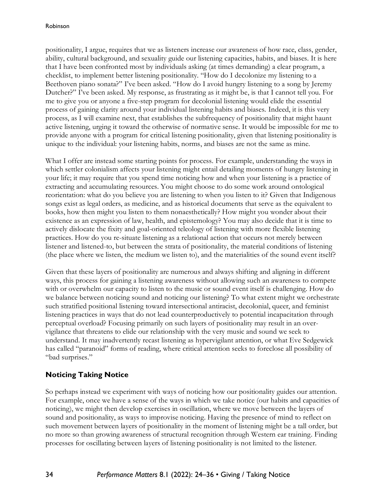positionality, I argue, requires that we as listeners increase our awareness of how race, class, gender, ability, cultural background, and sexuality guide our listening capacities, habits, and biases. It is here that I have been confronted most by individuals asking (at times demanding) a clear program, a checklist, to implement better listening positionality. "How do I decolonize my listening to a Beethoven piano sonata?" I've been asked. "How do I avoid hungry listening to a song by Jeremy Dutcher?" I've been asked. My response, as frustrating as it might be, is that I cannot tell you. For me to give you or anyone a five-step program for decolonial listening would elide the essential process of gaining clarity around your individual listening habits and biases. Indeed, it is this very process, as I will examine next, that establishes the subfrequency of positionality that might haunt active listening, urging it toward the otherwise of normative sense. It would be impossible for me to provide anyone with a program for critical listening positionality, given that listening positionality is unique to the individual: your listening habits, norms, and biases are not the same as mine.

What I offer are instead some starting points for process. For example, understanding the ways in which settler colonialism affects your listening might entail detailing moments of hungry listening in your life; it may require that you spend time noticing how and when your listening is a practice of extracting and accumulating resources. You might choose to do some work around ontological reorientation: what do you believe you are listening to when you listen to it? Given that Indigenous songs exist as legal orders, as medicine, and as historical documents that serve as the equivalent to books, how then might you listen to them nonaesthetically? How might you wonder about their existence as an expression of law, health, and epistemology? You may also decide that it is time to actively dislocate the fixity and goal-oriented teleology of listening with more flexible listening practices. How do you re-situate listening as a relational action that occurs not merely between listener and listened-to, but between the strata of positionality, the material conditions of listening (the place where we listen, the medium we listen to), and the materialities of the sound event itself?

Given that these layers of positionality are numerous and always shifting and aligning in different ways, this process for gaining a listening awareness without allowing such an awareness to compete with or overwhelm our capacity to listen to the music or sound event itself is challenging. How do we balance between noticing sound and noticing our listening? To what extent might we orchestrate such stratified positional listening toward intersectional antiracist, decolonial, queer, and feminist listening practices in ways that do not lead counterproductively to potential incapacitation through perceptual overload? Focusing primarily on such layers of positionality may result in an overvigilance that threatens to elide our relationship with the very music and sound we seek to understand. It may inadvertently recast listening as hypervigilant attention, or what Eve Sedgewick has called "paranoid" forms of reading, where critical attention seeks to foreclose all possibility of "bad surprises."

# **Noticing Taking Notice**

So perhaps instead we experiment with ways of noticing how our positionality guides our attention. For example, once we have a sense of the ways in which we take notice (our habits and capacities of noticing), we might then develop exercises in oscillation, where we move between the layers of sound and positionality, as ways to improvise noticing. Having the presence of mind to reflect on such movement between layers of positionality in the moment of listening might be a tall order, but no more so than growing awareness of structural recognition through Western ear training. Finding processes for oscillating between layers of listening positionality is not limited to the listener.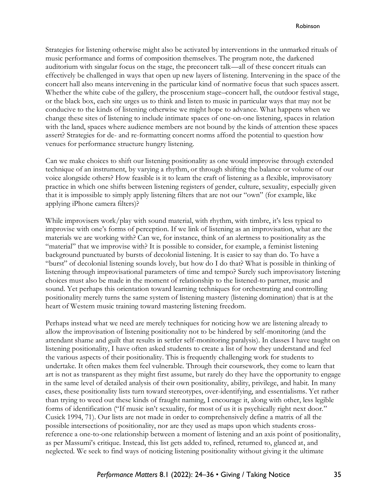Strategies for listening otherwise might also be activated by interventions in the unmarked rituals of music performance and forms of composition themselves. The program note, the darkened auditorium with singular focus on the stage, the preconcert talk—all of these concert rituals can effectively be challenged in ways that open up new layers of listening. Intervening in the space of the concert hall also means intervening in the particular kind of normative focus that such spaces assert. Whether the white cube of the gallery, the proscenium stage–concert hall, the outdoor festival stage, or the black box, each site urges us to think and listen to music in particular ways that may not be conducive to the kinds of listening otherwise we might hope to advance. What happens when we change these sites of listening to include intimate spaces of one-on-one listening, spaces in relation with the land, spaces where audience members are not bound by the kinds of attention these spaces assert? Strategies for de- and re-formatting concert norms afford the potential to question how venues for performance structure hungry listening.

Can we make choices to shift our listening positionality as one would improvise through extended technique of an instrument, by varying a rhythm, or through shifting the balance or volume of our voice alongside others? How feasible is it to learn the craft of listening as a flexible, improvisatory practice in which one shifts between listening registers of gender, culture, sexuality, especially given that it is impossible to simply apply listening filters that are not our "own" (for example, like applying iPhone camera filters)?

While improvisers work/play with sound material, with rhythm, with timbre, it's less typical to improvise with one's forms of perception. If we link of listening as an improvisation, what are the materials we are working with? Can we, for instance, think of an alertness to positionality as the "material" that we improvise with? It is possible to consider, for example, a feminist listening background punctuated by bursts of decolonial listening. It is easier to say than do. To have a "burst" of decolonial listening sounds lovely, but how do I do that? What is possible in thinking of listening through improvisational parameters of time and tempo? Surely such improvisatory listening choices must also be made in the moment of relationship to the listened-to partner, music and sound. Yet perhaps this orientation toward learning techniques for orchestrating and controlling positionality merely turns the same system of listening mastery (listening domination) that is at the heart of Western music training toward mastering listening freedom.

Perhaps instead what we need are merely techniques for noticing how we are listening already to allow the improvisation of listening positionality not to be hindered by self-monitoring (and the attendant shame and guilt that results in settler self-monitoring paralysis). In classes I have taught on listening positionality, I have often asked students to create a list of how they understand and feel the various aspects of their positionality. This is frequently challenging work for students to undertake. It often makes them feel vulnerable. Through their coursework, they come to learn that art is not as transparent as they might first assume, but rarely do they have the opportunity to engage in the same level of detailed analysis of their own positionality, ability, privilege, and habit. In many cases, these positionality lists turn toward stereotypes, over-identifying, and essentialisms. Yet rather than trying to weed out these kinds of fraught naming, I encourage it, along with other, less legible forms of identification ("If music isn't sexuality, for most of us it is psychically right next door." Cusick 1994, 71). Our lists are not made in order to comprehensively define a matrix of all the possible intersections of positionality, nor are they used as maps upon which students crossreference a one-to-one relationship between a moment of listening and an axis point of positionality, as per Massumi's critique. Instead, this list gets added to, refined, returned to, glanced at, and neglected. We seek to find ways of noticing listening positionality without giving it the ultimate